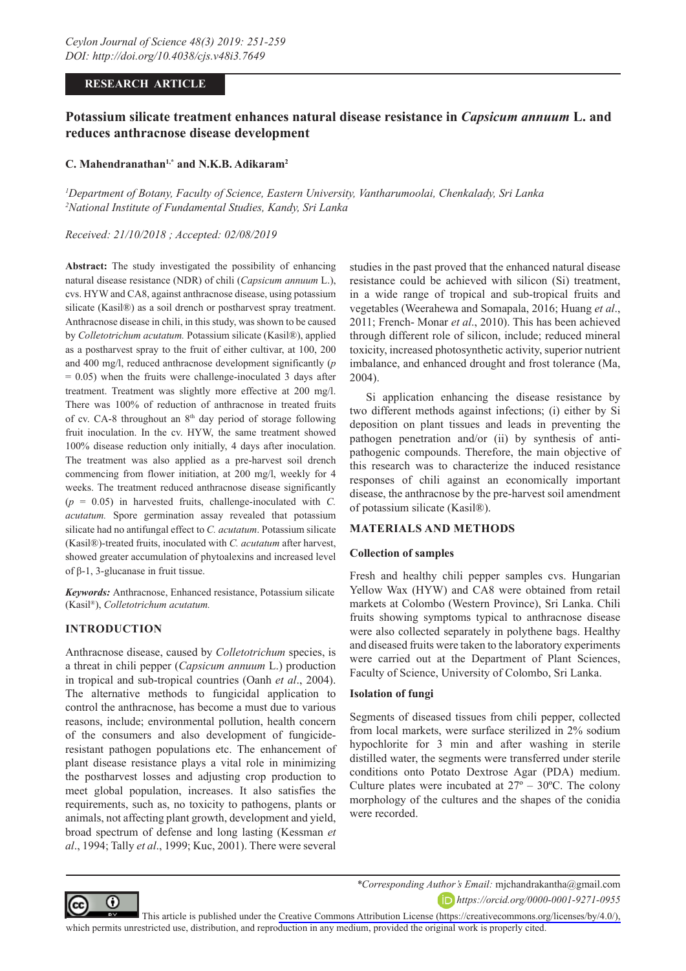## **RESEARCH ARTICLE**

# **Potassium silicate treatment enhances natural disease resistance in** *Capsicum annuum* **L. and reduces anthracnose disease development**

#### **C. Mahendranathan1,\* and N.K.B. Adikaram2**

*1 Department of Botany, Faculty of Science, Eastern University, Vantharumoolai, Chenkalady, Sri Lanka 2 National Institute of Fundamental Studies, Kandy, Sri Lanka*

#### *Received: 21/10/2018 ; Accepted: 02/08/2019*

**Abstract:** The study investigated the possibility of enhancing natural disease resistance (NDR) of chili (*Capsicum annuum* L.), cvs. HYW and CA8, against anthracnose disease, using potassium silicate (Kasil®) as a soil drench or postharvest spray treatment. Anthracnose disease in chili, in this study, was shown to be caused by *Colletotrichum acutatum.* Potassium silicate (Kasil®), applied as a postharvest spray to the fruit of either cultivar, at 100, 200 and 400 mg/l, reduced anthracnose development significantly (*p*  $= 0.05$ ) when the fruits were challenge-inoculated 3 days after treatment. Treatment was slightly more effective at 200 mg/l. There was 100% of reduction of anthracnose in treated fruits of cv. CA-8 throughout an 8<sup>th</sup> day period of storage following fruit inoculation. In the cv. HYW, the same treatment showed 100% disease reduction only initially, 4 days after inoculation. The treatment was also applied as a pre-harvest soil drench commencing from flower initiation, at 200 mg/l, weekly for 4 weeks. The treatment reduced anthracnose disease significantly  $(p = 0.05)$  in harvested fruits, challenge-inoculated with *C*. *acutatum.* Spore germination assay revealed that potassium silicate had no antifungal effect to *C. acutatum*. Potassium silicate (Kasil®)-treated fruits, inoculated with *C. acutatum* after harvest, showed greater accumulation of phytoalexins and increased level of β-1, 3-glucanase in fruit tissue.

*Keywords:* Anthracnose, Enhanced resistance, Potassium silicate (Kasil®), *Colletotrichum acutatum.*

## **INTRODUCTION**

Anthracnose disease, caused by *Colletotrichum* species, is a threat in chili pepper (*Capsicum annuum* L.) production in tropical and sub-tropical countries (Oanh *et al*., 2004). The alternative methods to fungicidal application to control the anthracnose, has become a must due to various reasons, include; environmental pollution, health concern of the consumers and also development of fungicideresistant pathogen populations etc. The enhancement of plant disease resistance plays a vital role in minimizing the postharvest losses and adjusting crop production to meet global population, increases. It also satisfies the requirements, such as, no toxicity to pathogens, plants or animals, not affecting plant growth, development and yield, broad spectrum of defense and long lasting (Kessman *et al*., 1994; Tally *et al*., 1999; Kuc, 2001). There were several

studies in the past proved that the enhanced natural disease resistance could be achieved with silicon (Si) treatment, in a wide range of tropical and sub-tropical fruits and vegetables (Weerahewa and Somapala, 2016; Huang *et al*., 2011; French- Monar *et al*., 2010). This has been achieved through different role of silicon, include; reduced mineral toxicity, increased photosynthetic activity, superior nutrient imbalance, and enhanced drought and frost tolerance (Ma, 2004).

Si application enhancing the disease resistance by two different methods against infections; (i) either by Si deposition on plant tissues and leads in preventing the pathogen penetration and/or (ii) by synthesis of antipathogenic compounds. Therefore, the main objective of this research was to characterize the induced resistance responses of chili against an economically important disease, the anthracnose by the pre-harvest soil amendment of potassium silicate (Kasil®).

#### **MATERIALS AND METHODS**

#### **Collection of samples**

Fresh and healthy chili pepper samples cvs. Hungarian Yellow Wax (HYW) and CA8 were obtained from retail markets at Colombo (Western Province), Sri Lanka. Chili fruits showing symptoms typical to anthracnose disease were also collected separately in polythene bags. Healthy and diseased fruits were taken to the laboratory experiments were carried out at the Department of Plant Sciences, Faculty of Science, University of Colombo, Sri Lanka.

#### **Isolation of fungi**

Segments of diseased tissues from chili pepper, collected from local markets, were surface sterilized in 2% sodium hypochlorite for 3 min and after washing in sterile distilled water, the segments were transferred under sterile conditions onto Potato Dextrose Agar (PDA) medium. Culture plates were incubated at  $27^{\circ} - 30^{\circ}$ C. The colony morphology of the cultures and the shapes of the conidia were recorded.



*\*Corresponding Author's Email:* mjchandrakantha@gmail.com *https://orcid.org/0000-0001-9271-0955*

This article is published under the [Creative Commons Attribution License \(https://creativecommons.org/licenses/by/4.0/\),](https://creativecommons.org/licenses/by/4.0/)  which permits unrestricted use, distribution, and reproduction in any medium, provided the original work is properly cited.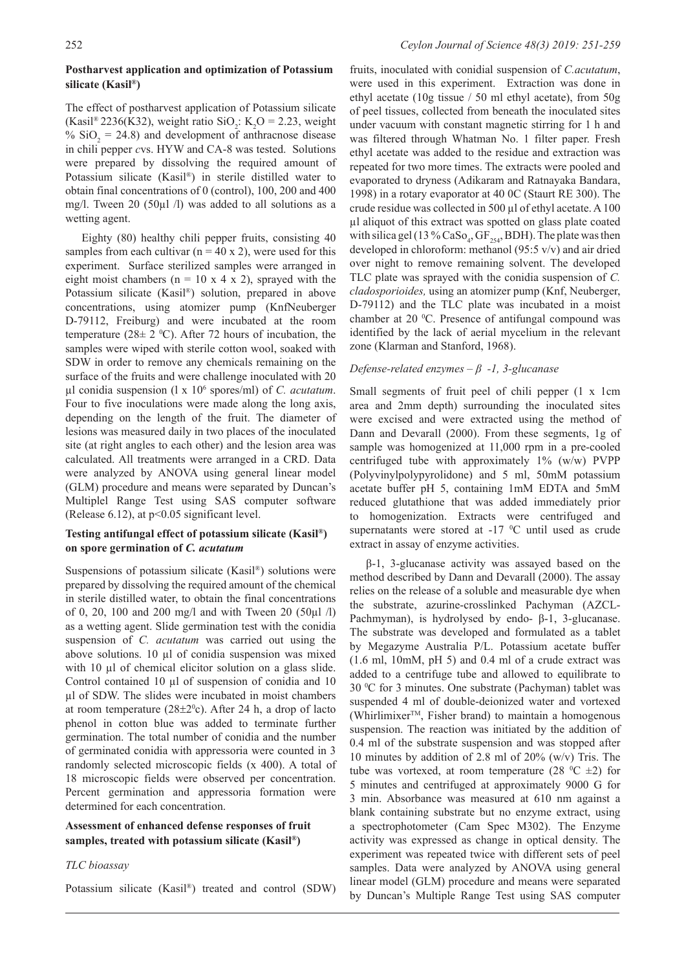### **Postharvest application and optimization of Potassium silicate (Kasil®)**

The effect of postharvest application of Potassium silicate (Kasil<sup>®</sup> 2236(K32), weight ratio SiO<sub>2</sub>: K<sub>2</sub>O = 2.23, weight %  $SiO_2 = 24.8$ ) and development of anthracnose disease in chili pepper *c*vs. HYW and CA-8 was tested. Solutions were prepared by dissolving the required amount of Potassium silicate (Kasil®) in sterile distilled water to obtain final concentrations of 0 (control), 100, 200 and 400 mg/l. Tween 20 (50µl /l) was added to all solutions as a wetting agent.

Eighty (80) healthy chili pepper fruits, consisting 40 samples from each cultivar ( $n = 40 \times 2$ ), were used for this experiment. Surface sterilized samples were arranged in eight moist chambers ( $n = 10 \times 4 \times 2$ ), sprayed with the Potassium silicate (Kasil®) solution, prepared in above concentrations, using atomizer pump (KnfNeuberger D-79112, Freiburg) and were incubated at the room temperature (28 $\pm$  2 °C). After 72 hours of incubation, the samples were wiped with sterile cotton wool, soaked with SDW in order to remove any chemicals remaining on the surface of the fruits and were challenge inoculated with 20 µl conidia suspension (l x 106 spores/ml) of *C. acutatum*. Four to five inoculations were made along the long axis, depending on the length of the fruit. The diameter of lesions was measured daily in two places of the inoculated site (at right angles to each other) and the lesion area was calculated. All treatments were arranged in a CRD. Data were analyzed by ANOVA using general linear model (GLM) procedure and means were separated by Duncan's Multiplel Range Test using SAS computer software (Release 6.12), at p<0.05 significant level.

## **Testing antifungal effect of potassium silicate (Kasil®) on spore germination of** *C. acutatum*

Suspensions of potassium silicate (Kasil®) solutions were prepared by dissolving the required amount of the chemical in sterile distilled water, to obtain the final concentrations of 0, 20, 100 and 200 mg/l and with Tween 20 (50µl /l) as a wetting agent. Slide germination test with the conidia suspension of *C. acutatum* was carried out using the above solutions. 10 µl of conidia suspension was mixed with 10 µl of chemical elicitor solution on a glass slide. Control contained 10 µl of suspension of conidia and 10 µl of SDW. The slides were incubated in moist chambers at room temperature  $(28\pm2^0c)$ . After 24 h, a drop of lacto phenol in cotton blue was added to terminate further germination. The total number of conidia and the number of germinated conidia with appressoria were counted in 3 randomly selected microscopic fields (x 400). A total of 18 microscopic fields were observed per concentration. Percent germination and appressoria formation were determined for each concentration.

## **Assessment of enhanced defense responses of fruit samples, treated with potassium silicate (Kasil®)**

#### *TLC bioassay*

Potassium silicate (Kasil®) treated and control (SDW)

fruits, inoculated with conidial suspension of *C.acutatum*, were used in this experiment. Extraction was done in ethyl acetate (10g tissue / 50 ml ethyl acetate), from 50g of peel tissues, collected from beneath the inoculated sites under vacuum with constant magnetic stirring for 1 h and was filtered through Whatman No. 1 filter paper. Fresh ethyl acetate was added to the residue and extraction was repeated for two more times. The extracts were pooled and evaporated to dryness (Adikaram and Ratnayaka Bandara, 1998) in a rotary evaporator at 40 0C (Staurt RE 300). The crude residue was collected in 500 µl of ethyl acetate. A 100 µl aliquot of this extract was spotted on glass plate coated with silica gel (13 %  $\text{CaSo}_4$ ,  $\text{GF}_{254}$ , BDH). The plate was then developed in chloroform: methanol (95:5 v/v) and air dried over night to remove remaining solvent. The developed TLC plate was sprayed with the conidia suspension of *C. cladosporioides,* using an atomizer pump (Knf, Neuberger, D-79112) and the TLC plate was incubated in a moist chamber at 20 °C. Presence of antifungal compound was identified by the lack of aerial mycelium in the relevant zone (Klarman and Stanford, 1968).

### *Defense-related enzymes – β -1, 3-glucanase*

Small segments of fruit peel of chili pepper (1 x 1cm area and 2mm depth) surrounding the inoculated sites were excised and were extracted using the method of Dann and Devarall (2000). From these segments, 1g of sample was homogenized at 11,000 rpm in a pre-cooled centrifuged tube with approximately 1% (w/w) PVPP (Polyvinylpolypyrolidone) and 5 ml, 50mM potassium acetate buffer pH 5, containing 1mM EDTA and 5mM reduced glutathione that was added immediately prior to homogenization. Extracts were centrifuged and supernatants were stored at  $-17$  °C until used as crude extract in assay of enzyme activities.

β-1, 3-glucanase activity was assayed based on the method described by Dann and Devarall (2000). The assay relies on the release of a soluble and measurable dye when the substrate, azurine-crosslinked Pachyman (AZCL-Pachmyman), is hydrolysed by endo- β-1, 3-glucanase. The substrate was developed and formulated as a tablet by Megazyme Australia P/L. Potassium acetate buffer (1.6 ml, 10mM, pH 5) and 0.4 ml of a crude extract was added to a centrifuge tube and allowed to equilibrate to 30 0 C for 3 minutes. One substrate (Pachyman) tablet was suspended 4 ml of double-deionized water and vortexed (Whirlimixer<sup>TM</sup>, Fisher brand) to maintain a homogenous suspension. The reaction was initiated by the addition of 0.4 ml of the substrate suspension and was stopped after 10 minutes by addition of 2.8 ml of 20% (w/v) Tris. The tube was vortexed, at room temperature (28  $^{\circ}$ C  $\pm$ 2) for 5 minutes and centrifuged at approximately 9000 G for 3 min. Absorbance was measured at 610 nm against a blank containing substrate but no enzyme extract, using a spectrophotometer (Cam Spec M302). The Enzyme activity was expressed as change in optical density. The experiment was repeated twice with different sets of peel samples. Data were analyzed by ANOVA using general linear model (GLM) procedure and means were separated by Duncan's Multiple Range Test using SAS computer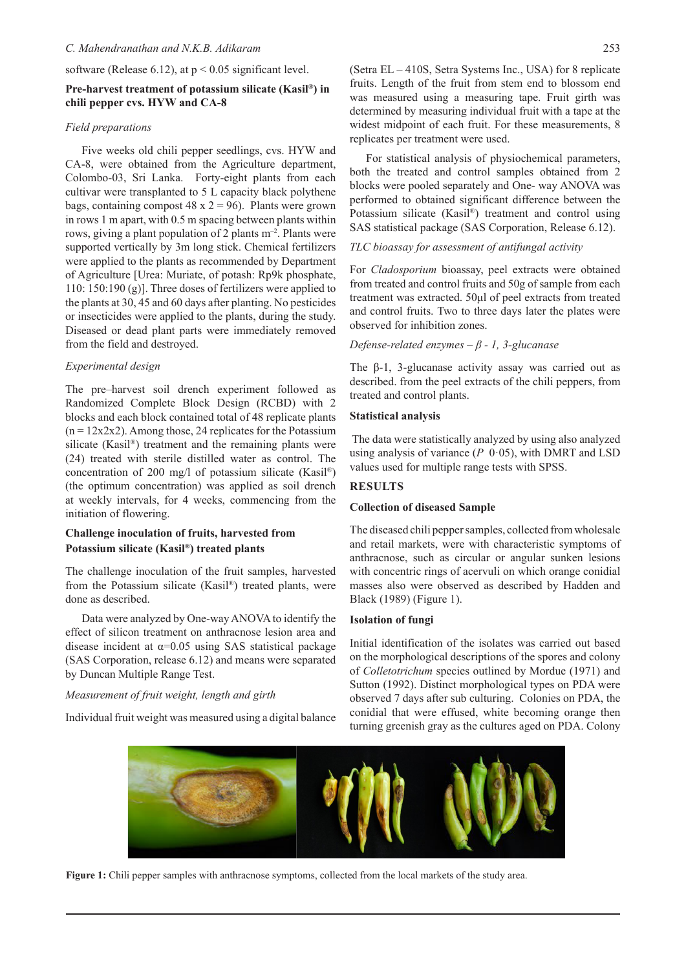software (Release 6.12), at  $p < 0.05$  significant level.

### **Pre-harvest treatment of potassium silicate (Kasil®) in chili pepper cvs. HYW and CA-8**

#### *Field preparations*

Five weeks old chili pepper seedlings, cvs. HYW and CA-8, were obtained from the Agriculture department, Colombo-03, Sri Lanka. Forty-eight plants from each cultivar were transplanted to 5 L capacity black polythene bags, containing compost  $48 \times 2 = 96$ ). Plants were grown in rows 1 m apart, with 0.5 m spacing between plants within rows, giving a plant population of 2 plants  $m^{-2}$ . Plants were supported vertically by 3m long stick. Chemical fertilizers were applied to the plants as recommended by Department of Agriculture [Urea: Muriate, of potash: Rp9k phosphate, 110: 150:190 (g)]. Three doses of fertilizers were applied to the plants at 30, 45 and 60 days after planting. No pesticides or insecticides were applied to the plants, during the study. Diseased or dead plant parts were immediately removed from the field and destroyed.

#### *Experimental design*

The pre–harvest soil drench experiment followed as Randomized Complete Block Design (RCBD) with 2 blocks and each block contained total of 48 replicate plants  $(n = 12x2x2)$ . Among those, 24 replicates for the Potassium silicate (Kasil®) treatment and the remaining plants were (24) treated with sterile distilled water as control. The concentration of 200 mg/l of potassium silicate (Kasil®) (the optimum concentration) was applied as soil drench at weekly intervals, for 4 weeks, commencing from the initiation of flowering.

## **Challenge inoculation of fruits, harvested from Potassium silicate (Kasil®) treated plants**

The challenge inoculation of the fruit samples, harvested from the Potassium silicate (Kasil®) treated plants, were done as described.

Data were analyzed by One-way ANOVA to identify the effect of silicon treatment on anthracnose lesion area and disease incident at  $\alpha$ =0.05 using SAS statistical package (SAS Corporation, release 6.12) and means were separated by Duncan Multiple Range Test.

#### *Measurement of fruit weight, length and girth*

Individual fruit weight was measured using a digital balance

(Setra EL – 410S, Setra Systems Inc., USA) for 8 replicate fruits. Length of the fruit from stem end to blossom end was measured using a measuring tape. Fruit girth was determined by measuring individual fruit with a tape at the widest midpoint of each fruit. For these measurements, 8 replicates per treatment were used.

For statistical analysis of physiochemical parameters, both the treated and control samples obtained from 2 blocks were pooled separately and One- way ANOVA was performed to obtained significant difference between the Potassium silicate (Kasil®) treatment and control using SAS statistical package (SAS Corporation, Release 6.12).

## *TLC bioassay for assessment of antifungal activity*

For *Cladosporium* bioassay, peel extracts were obtained from treated and control fruits and 50g of sample from each treatment was extracted. 50μl of peel extracts from treated and control fruits. Two to three days later the plates were observed for inhibition zones.

#### *Defense-related enzymes – β - 1, 3-glucanase*

The β-1, 3-glucanase activity assay was carried out as described. from the peel extracts of the chili peppers, from treated and control plants.

#### **Statistical analysis**

 The data were statistically analyzed by using also analyzed using analysis of variance (*P* 0·05), with DMRT and LSD values used for multiple range tests with SPSS.

## **RESULTS**

#### **Collection of diseased Sample**

The diseased chili pepper samples, collected from wholesale and retail markets, were with characteristic symptoms of anthracnose, such as circular or angular sunken lesions with concentric rings of acervuli on which orange conidial masses also were observed as described by Hadden and Black (1989) (Figure 1).

#### **Isolation of fungi**

Initial identification of the isolates was carried out based on the morphological descriptions of the spores and colony of *Colletotrichum* species outlined by Mordue (1971) and Sutton (1992). Distinct morphological types on PDA were observed 7 days after sub culturing. Colonies on PDA, the conidial that were effused, white becoming orange then turning greenish gray as the cultures aged on PDA. Colony



**Figure 1:** Chili pepper samples with anthracnose symptoms, collected from the local markets of the study area.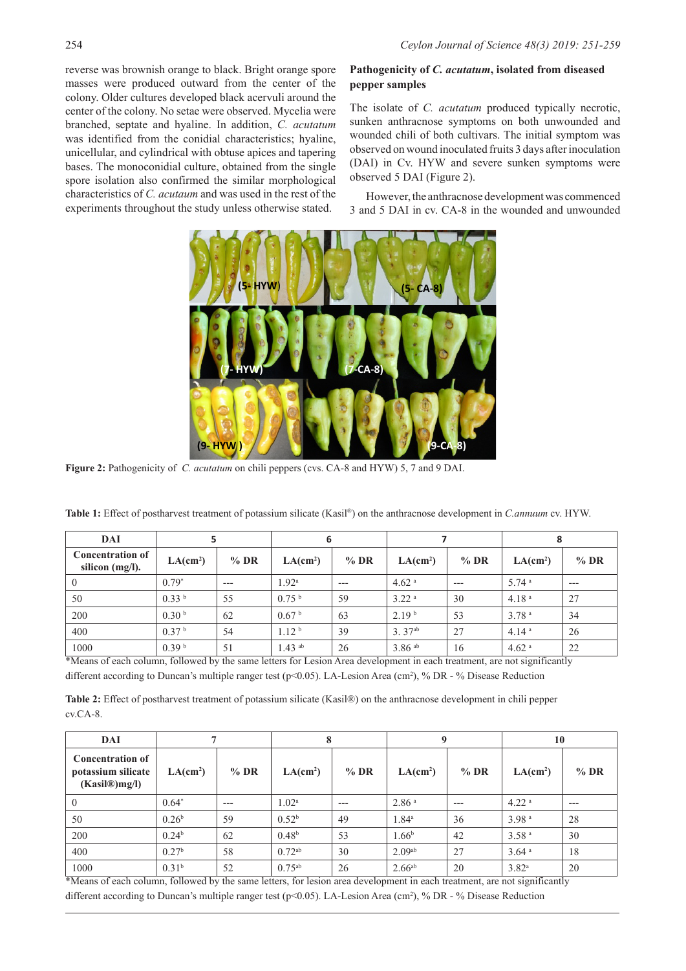reverse was brownish orange to black. Bright orange spore masses were produced outward from the center of the colony. Older cultures developed black acervuli around the center of the colony. No setae were observed. Mycelia were branched, septate and hyaline. In addition, *C. acutatum* was identified from the conidial characteristics; hyaline, unicellular, and cylindrical with obtuse apices and tapering bases. The monoconidial culture, obtained from the single spore isolation also confirmed the similar morphological characteristics of *C. acutaum* and was used in the rest of the experiments throughout the study unless otherwise stated.

## **Pathogenicity of** *C. acutatum***, isolated from diseased pepper samples**

The isolate of *C. acutatum* produced typically necrotic, sunken anthracnose symptoms on both unwounded and wounded chili of both cultivars. The initial symptom was observed on wound inoculated fruits 3 days after inoculation (DAI) in Cv. HYW and severe sunken symptoms were observed 5 DAI (Figure 2).

However, the anthracnose development was commenced 3 and 5 DAI in cv. CA-8 in the wounded and unwounded



**Figure 2:** Pathogenicity of *C. acutatum* on chili peppers (cvs. CA-8 and HYW) 5, 7 and 9 DAI.

| DAI                                           |                      |        | 6                    |        |                      |        | 8                    |        |
|-----------------------------------------------|----------------------|--------|----------------------|--------|----------------------|--------|----------------------|--------|
| <b>Concentration of</b><br>silicon $(mg/l)$ . | LA(cm <sup>2</sup> ) | $%$ DR | LA(cm <sup>2</sup> ) | $%$ DR | LA(cm <sup>2</sup> ) | $%$ DR | LA(cm <sup>2</sup> ) | $%$ DR |
| $\theta$                                      | $0.79*$              | $---$  | 1.92 <sup>a</sup>    | $---$  | $4.62$ <sup>a</sup>  | $---$  | $5.74$ <sup>a</sup>  | $---$  |
| 50                                            | 0.33 <sup>b</sup>    | 55     | 0.75 <sup>b</sup>    | 59     | 3.22 <sup>a</sup>    | 30     | 4.18 <sup>a</sup>    | 27     |
| 200                                           | 0.30 <sup>b</sup>    | 62     | 0.67 <sup>b</sup>    | 63     | 2.19 <sup>b</sup>    | 53     | 3.78 <sup>a</sup>    | 34     |
| 400                                           | 0.37 <sup>b</sup>    | 54     | 1.12 <sup>b</sup>    | 39     | 3.37 <sup>ab</sup>   | 27     | 4.14 <sup>a</sup>    | 26     |
| 1000                                          | 0.39 <sup>b</sup>    | 51     | $1.43$ ab            | 26     | $3.86$ <sup>ab</sup> | 16     | $4.62$ <sup>a</sup>  | 22     |

**Table 1:** Effect of postharvest treatment of potassium silicate (Kasil®) on the anthracnose development in *C.annuum* cv. HYW.

\*Means of each column, followed by the same letters for Lesion Area development in each treatment, are not significantly

different according to Duncan's multiple ranger test (p<0.05). LA-Lesion Area (cm<sup>2</sup>), % DR - % Disease Reduction

**Table 2:** Effect of postharvest treatment of potassium silicate (Kasil®) on the anthracnose development in chili pepper cv.CA-8.

| DAI                                                            |                      |        | 8                    |        | $\mathbf Q$          |        | 10                   |        |
|----------------------------------------------------------------|----------------------|--------|----------------------|--------|----------------------|--------|----------------------|--------|
| <b>Concentration of</b><br>potassium silicate<br>(Kasil@)mg/l) | LA(cm <sup>2</sup> ) | $%$ DR | LA(cm <sup>2</sup> ) | $%$ DR | LA(cm <sup>2</sup> ) | $%$ DR | LA(cm <sup>2</sup> ) | $%$ DR |
| $\overline{0}$                                                 | $0.64*$              | $---$  | 1.02 <sup>a</sup>    | $---$  | 2.86 <sup>a</sup>    | $---$  | 4.22 <sup>a</sup>    | $---$  |
| 50                                                             | 0.26 <sup>b</sup>    | 59     | $0.52^{\rm b}$       | 49     | $1.84^{\circ}$       | 36     | 3.98 <sup>a</sup>    | 28     |
| 200                                                            | 0.24 <sup>b</sup>    | 62     | 0.48 <sup>b</sup>    | 53     | 1.66 <sup>b</sup>    | 42     | 3.58 <sup>a</sup>    | 30     |
| 400                                                            | 0.27 <sup>b</sup>    | 58     | $0.72^{ab}$          | 30     | 2.09 <sub>ab</sub>   | 27     | $3.64$ <sup>a</sup>  | 18     |
| 1000                                                           | 0.31 <sup>b</sup>    | 52     | $0.75^{ab}$          | 26     | $2.66^{ab}$          | 20     | $3.82^{\rm a}$       | 20     |

\*Means of each column, followed by the same letters, for lesion area development in each treatment, are not significantly different according to Duncan's multiple ranger test (p<0.05). LA-Lesion Area (cm<sup>2</sup>), % DR - % Disease Reduction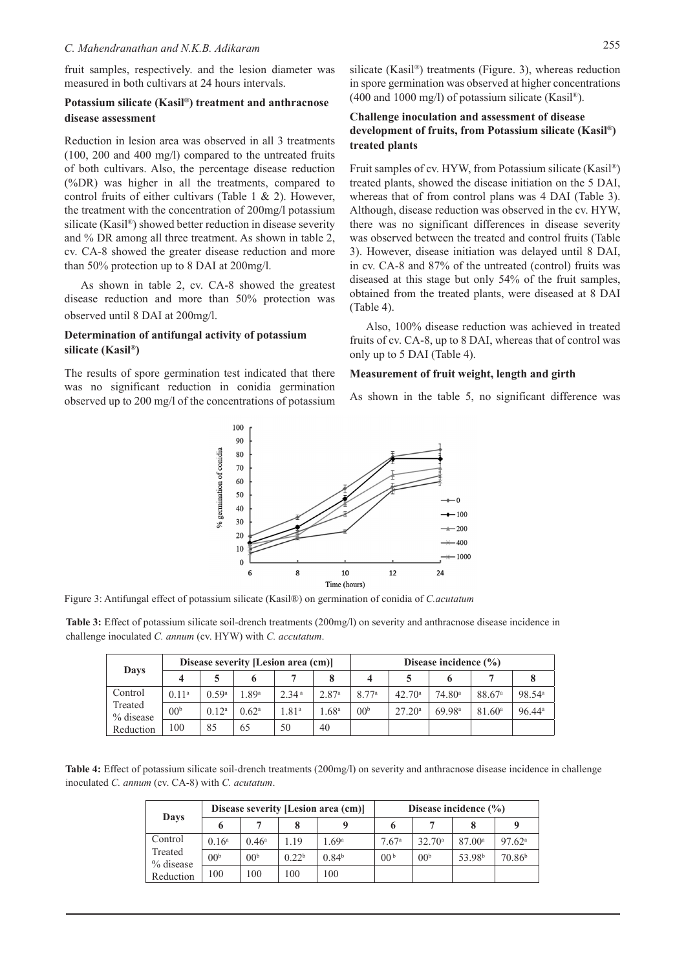fruit samples, respectively. and the lesion diameter was measured in both cultivars at 24 hours intervals.

#### **Potassium silicate (Kasil®) treatment and anthracnose disease assessment**

Reduction in lesion area was observed in all 3 treatments (100, 200 and 400 mg/l) compared to the untreated fruits of both cultivars. Also, the percentage disease reduction (%DR) was higher in all the treatments, compared to control fruits of either cultivars (Table 1 & 2). However, the treatment with the concentration of 200mg/l potassium silicate (Kasil®) showed better reduction in disease severity and % DR among all three treatment. As shown in table 2, cv. CA-8 showed the greater disease reduction and more than 50% protection up to 8 DAI at 200mg/l.

As shown in table 2, cv. CA-8 showed the greatest disease reduction and more than 50% protection was observed until 8 DAI at 200mg/l.

## **Determination of antifungal activity of potassium silicate (Kasil®)**

The results of spore germination test indicated that there was no significant reduction in conidia germination observed up to 200 mg/l of the concentrations of potassium silicate (Kasil®) treatments (Figure. 3), whereas reduction in spore germination was observed at higher concentrations  $(400 \text{ and } 1000 \text{ mg/l})$  of potassium silicate (Kasil®).

## **Challenge inoculation and assessment of disease development of fruits, from Potassium silicate (Kasil®) treated plants**

Fruit samples of cv. HYW, from Potassium silicate (Kasil®) treated plants, showed the disease initiation on the 5 DAI, whereas that of from control plans was 4 DAI (Table 3). Although, disease reduction was observed in the cv. HYW, there was no significant differences in disease severity was observed between the treated and control fruits (Table 3). However, disease initiation was delayed until 8 DAI, in cv. CA-8 and 87% of the untreated (control) fruits was diseased at this stage but only 54% of the fruit samples, obtained from the treated plants, were diseased at 8 DAI (Table 4).

Also, 100% disease reduction was achieved in treated fruits of cv. CA-8, up to 8 DAI, whereas that of control was only up to 5 DAI (Table 4).

#### **Measurement of fruit weight, length and girth**

As shown in the table 5, no significant difference was



Figure 3: Antifungal effect of potassium silicate (Kasil®) on germination of conidia of *C.acutatum*

**Table 3:** Effect of potassium silicate soil-drench treatments (200mg/l) on severity and anthracnose disease incidence in challenge inoculated *C. annum* (cv. HYW) with *C. accutatum*.

|                      |                   |                   | Disease severity [Lesion area (cm)] |                   |                   | Disease incidence $(\% )$ |                    |                    |                    |                      |
|----------------------|-------------------|-------------------|-------------------------------------|-------------------|-------------------|---------------------------|--------------------|--------------------|--------------------|----------------------|
| Days                 |                   |                   |                                     |                   |                   | 4                         |                    |                    |                    |                      |
| Control              | 0.11 <sup>a</sup> | 0.59 <sup>a</sup> | 1.89ª                               | 2.34 <sup>a</sup> | 2.87 <sup>a</sup> | 8.77 <sup>a</sup>         | $42.70^{\circ}$    | 74.80 <sup>a</sup> | 88.67 <sup>a</sup> | 98.54 <sup>a</sup>   |
| Treated<br>% disease | 00 <sup>b</sup>   | $0.12^a$          | 0.62 <sup>a</sup>                   | .81 <sup>a</sup>  | .68 <sup>a</sup>  | 00 <sup>b</sup>           | 27.20 <sup>a</sup> | 69.98 <sup>a</sup> | 81.60 <sup>a</sup> | $96.44$ <sup>a</sup> |
| Reduction            | 100               | 85                | 65                                  | 50                | 40                |                           |                    |                    |                    |                      |

**Table 4:** Effect of potassium silicate soil-drench treatments (200mg/l) on severity and anthracnose disease incidence in challenge inoculated *C. annum* (cv. CA-8) with *C. acutatum*.

| Days                 |                 |                 |                   | Disease severity [Lesion area (cm)] | Disease incidence $(\% )$ |                 |                    |                    |
|----------------------|-----------------|-----------------|-------------------|-------------------------------------|---------------------------|-----------------|--------------------|--------------------|
|                      | 6               |                 |                   | Q                                   |                           |                 |                    |                    |
| Control              | $0.16^{\circ}$  | $0.46^{\circ}$  | 1.19              | .69 <sup>a</sup>                    | 7.67 <sup>a</sup>         | $32.70^{\circ}$ | 87.00a             | 97.62 <sup>a</sup> |
| Treated<br>% disease | 00 <sup>b</sup> | 00 <sup>b</sup> | 0.22 <sup>b</sup> | 0.84 <sup>b</sup>                   | 00 <sup>b</sup>           | 00 <sup>b</sup> | 53.98 <sup>b</sup> | 70.86 <sup>b</sup> |
| Reduction            | 100             | 00              | 100               | 00                                  |                           |                 |                    |                    |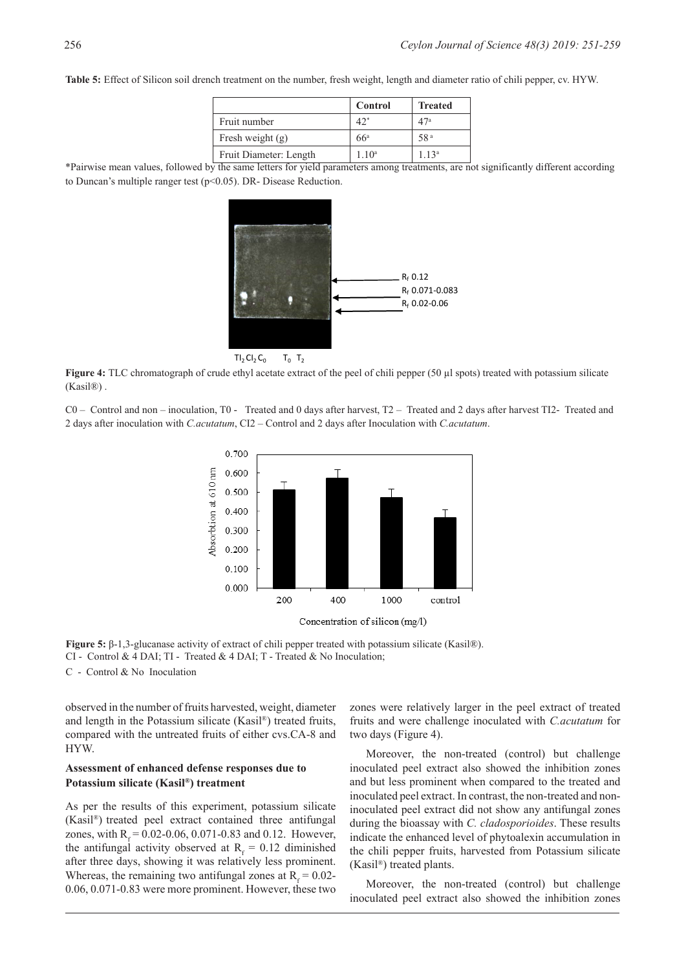**Table 5:** Effect of Silicon soil drench treatment on the number, fresh weight, length and diameter ratio of chili pepper, cv. HYW.

|                        | Control         | <b>Treated</b>  |
|------------------------|-----------------|-----------------|
| Fruit number           | 42"             | 47ª             |
| Fresh weight $(g)$     | 66 <sup>a</sup> | 58 <sup>a</sup> |
| Fruit Diameter: Length | $1 \ 10^a$      | 113a            |

\*Pairwise mean values, followed by the same letters for yield parameters among treatments, are not significantly different according to Duncan's multiple ranger test (p<0.05). DR- Disease Reduction.



 $TI_2 CI_2 C_0$   $T_0$   $T_2$ 

**Figure 4:** TLC chromatograph of crude ethyl acetate extract of the peel of chili pepper (50 µl spots) treated with potassium silicate (Kasil®) .

C0 – Control and non – inoculation, T0 - Treated and 0 days after harvest, T2 – Treated and 2 days after harvest TI2- Treated and 2 days after inoculation with *C.acutatum*, CI2 – Control and 2 days after Inoculation with *C.acutatum*.



Concentration of silicon (mg/l)

**Figure 5:** β-1,3-glucanase activity of extract of chili pepper treated with potassium silicate (Kasil®). CI - Control & 4 DAI; TI - Treated & 4 DAI; T - Treated & No Inoculation; C - Control & No Inoculation

observed in the number of fruits harvested, weight, diameter and length in the Potassium silicate (Kasil®) treated fruits, compared with the untreated fruits of either cvs.CA-8 and

### **Assessment of enhanced defense responses due to Potassium silicate (Kasil®) treatment**

HYW.

As per the results of this experiment, potassium silicate (Kasil®) treated peel extract contained three antifungal zones, with  $R_f = 0.02 - 0.06, 0.071 - 0.83$  and 0.12. However, the antifungal activity observed at  $R_f = 0.12$  diminished after three days, showing it was relatively less prominent. Whereas, the remaining two antifungal zones at  $R_f = 0.02$ -0.06, 0.071-0.83 were more prominent. However, these two

zones were relatively larger in the peel extract of treated fruits and were challenge inoculated with *C.acutatum* for two days (Figure 4).

Moreover, the non-treated (control) but challenge inoculated peel extract also showed the inhibition zones and but less prominent when compared to the treated and inoculated peel extract. In contrast, the non-treated and noninoculated peel extract did not show any antifungal zones during the bioassay with *C. cladosporioides*. These results indicate the enhanced level of phytoalexin accumulation in the chili pepper fruits, harvested from Potassium silicate (Kasil®) treated plants.

Moreover, the non-treated (control) but challenge inoculated peel extract also showed the inhibition zones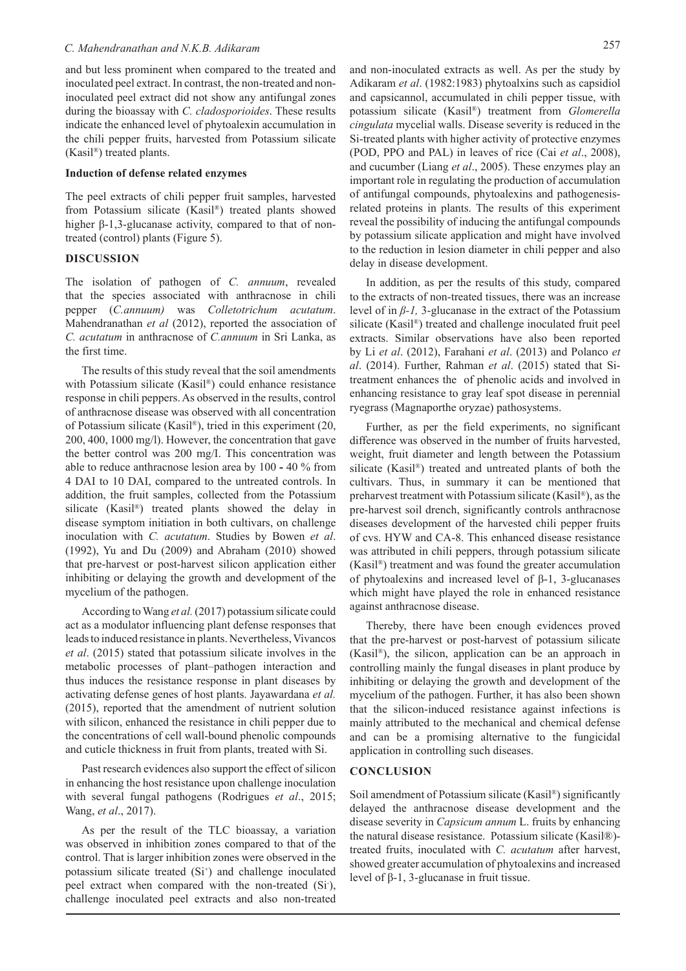and but less prominent when compared to the treated and inoculated peel extract. In contrast, the non-treated and noninoculated peel extract did not show any antifungal zones during the bioassay with *C. cladosporioides*. These results indicate the enhanced level of phytoalexin accumulation in the chili pepper fruits, harvested from Potassium silicate (Kasil®) treated plants.

#### **Induction of defense related enzymes**

The peel extracts of chili pepper fruit samples, harvested from Potassium silicate (Kasil®) treated plants showed higher β-1,3-glucanase activity, compared to that of nontreated (control) plants (Figure 5).

### **DISCUSSION**

The isolation of pathogen of *C. annuum*, revealed that the species associated with anthracnose in chili pepper (*C.annuum)* was *Colletotrichum acutatum*. Mahendranathan *et al* (2012), reported the association of *C. acutatum* in anthracnose of *C.annuum* in Sri Lanka, as the first time.

The results of this study reveal that the soil amendments with Potassium silicate (Kasil®) could enhance resistance response in chili peppers. As observed in the results, control of anthracnose disease was observed with all concentration of Potassium silicate (Kasil®), tried in this experiment (20, 200, 400, 1000 mg/l). However, the concentration that gave the better control was 200 mg/I. This concentration was able to reduce anthracnose lesion area by 100 **-** 40 % from 4 DAI to 10 DAI, compared to the untreated controls. In addition, the fruit samples, collected from the Potassium silicate (Kasil®) treated plants showed the delay in disease symptom initiation in both cultivars, on challenge inoculation with *C. acutatum*. Studies by Bowen *et al*. (1992), Yu and Du (2009) and Abraham (2010) showed that pre-harvest or post-harvest silicon application either inhibiting or delaying the growth and development of the mycelium of the pathogen.

According to Wang *et al.* (2017) potassium silicate could act as a modulator influencing plant defense responses that leads to induced resistance in plants. Nevertheless, Vivancos *et al*. (2015) stated that potassium silicate involves in the metabolic processes of plant–pathogen interaction and thus induces the resistance response in plant diseases by activating defense genes of host plants. Jayawardana *et al.*  (2015), reported that the amendment of nutrient solution with silicon, enhanced the resistance in chili pepper due to the concentrations of cell wall-bound phenolic compounds and cuticle thickness in fruit from plants, treated with Si.

Past research evidences also support the effect of silicon in enhancing the host resistance upon challenge inoculation with several fungal pathogens (Rodrigues *et al*., 2015; Wang, *et al*., 2017).

As per the result of the TLC bioassay, a variation was observed in inhibition zones compared to that of the control. That is larger inhibition zones were observed in the potassium silicate treated (Si<sup>+</sup>) and challenge inoculated peel extract when compared with the non-treated (Si-), challenge inoculated peel extracts and also non-treated

and non-inoculated extracts as well. As per the study by Adikaram *et al*. (1982:1983) phytoalxins such as capsidiol and capsicannol, accumulated in chili pepper tissue, with potassium silicate (Kasil®) treatment from *Glomerella cingulata* mycelial walls. Disease severity is reduced in the Si-treated plants with higher activity of protective enzymes (POD, PPO and PAL) in leaves of rice (Cai *et al*., 2008), and cucumber (Liang *et al*., 2005). These enzymes play an important role in regulating the production of accumulation of antifungal compounds, phytoalexins and pathogenesisrelated proteins in plants. The results of this experiment reveal the possibility of inducing the antifungal compounds by potassium silicate application and might have involved to the reduction in lesion diameter in chili pepper and also delay in disease development.

In addition, as per the results of this study, compared to the extracts of non-treated tissues, there was an increase level of in *β-1,* 3-glucanase in the extract of the Potassium silicate (Kasil®) treated and challenge inoculated fruit peel extracts. Similar observations have also been reported by Li *et al*. (2012), Farahani *et al*. (2013) and Polanco *et al*. (2014). Further, Rahman *et al*. (2015) stated that Sitreatment enhances the of phenolic acids and involved in enhancing resistance to gray leaf spot disease in perennial ryegrass (Magnaporthe oryzae) pathosystems.

Further, as per the field experiments, no significant difference was observed in the number of fruits harvested, weight, fruit diameter and length between the Potassium silicate (Kasil®) treated and untreated plants of both the cultivars. Thus, in summary it can be mentioned that preharvest treatment with Potassium silicate (Kasil®), as the pre-harvest soil drench, significantly controls anthracnose diseases development of the harvested chili pepper fruits of cvs. HYW and CA-8. This enhanced disease resistance was attributed in chili peppers, through potassium silicate (Kasil®) treatment and was found the greater accumulation of phytoalexins and increased level of β-1, 3-glucanases which might have played the role in enhanced resistance against anthracnose disease.

Thereby, there have been enough evidences proved that the pre-harvest or post-harvest of potassium silicate (Kasil®), the silicon, application can be an approach in controlling mainly the fungal diseases in plant produce by inhibiting or delaying the growth and development of the mycelium of the pathogen. Further, it has also been shown that the silicon-induced resistance against infections is mainly attributed to the mechanical and chemical defense and can be a promising alternative to the fungicidal application in controlling such diseases.

#### **CONCLUSION**

Soil amendment of Potassium silicate (Kasil®) significantly delayed the anthracnose disease development and the disease severity in *Capsicum annum* L. fruits by enhancing the natural disease resistance. Potassium silicate (Kasil®) treated fruits, inoculated with *C. acutatum* after harvest, showed greater accumulation of phytoalexins and increased level of  $β-1$ , 3-glucanase in fruit tissue.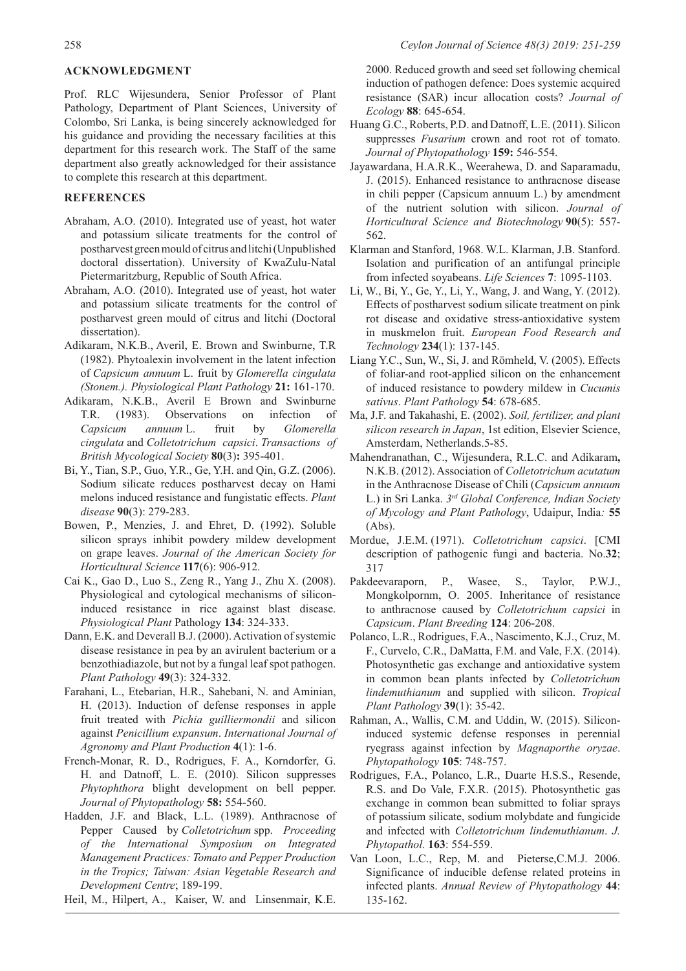## **ACKNOWLEDGMENT**

Prof. RLC Wijesundera, Senior Professor of Plant Pathology, Department of Plant Sciences, University of Colombo, Sri Lanka, is being sincerely acknowledged for his guidance and providing the necessary facilities at this department for this research work. The Staff of the same department also greatly acknowledged for their assistance to complete this research at this department.

## **REFERENCES**

- Abraham, A.O. (2010). Integrated use of yeast, hot water and potassium silicate treatments for the control of postharvest green mould of citrus and litchi (Unpublished doctoral dissertation). University of KwaZulu-Natal Pietermaritzburg, Republic of South Africa.
- Abraham, A.O. (2010). Integrated use of yeast, hot water and potassium silicate treatments for the control of postharvest green mould of citrus and litchi (Doctoral dissertation).
- Adikaram, N.K.B., Averil, E. Brown and Swinburne, T.R (1982). Phytoalexin involvement in the latent infection of *Capsicum annuum* L. fruit by *Glomerella cingulata (Stonem.). Physiological Plant Pathology* **21:** 161-170.
- Adikaram, N.K.B., Averil E Brown and Swinburne T.R. (1983). Observations on infection of *Capsicum annuum* L. fruit by *Glomerella cingulata* and *Colletotrichum capsici*. *Transactions of British Mycological Society* **80**(3)**:** 395-401.
- Bi, Y., Tian, S.P., Guo, Y.R., Ge, Y.H. and Qin, G.Z. (2006). Sodium silicate reduces postharvest decay on Hami melons induced resistance and fungistatic effects. *Plant disease* **90**(3): 279-283.
- Bowen, P., Menzies, J. and Ehret, D. (1992). Soluble silicon sprays inhibit powdery mildew development on grape leaves. *Journal of the American Society for Horticultural Science* **117**(6): 906-912.
- Cai K., Gao D., Luo S., Zeng R., Yang J., Zhu X. (2008). Physiological and cytological mechanisms of siliconinduced resistance in rice against blast disease. *Physiological Plant* Pathology **134**: 324-333.
- Dann, E.K. and Deverall B.J. (2000). Activation of systemic disease resistance in pea by an avirulent bacterium or a benzothiadiazole, but not by a fungal leaf spot pathogen. *Plant Pathology* **49**(3): 324-332.
- Farahani, L., Etebarian, H.R., Sahebani, N. and Aminian, H. (2013). Induction of defense responses in apple fruit treated with *Pichia guilliermondii* and silicon against *Penicillium expansum*. *International Journal of Agronomy and Plant Production* **4**(1): 1-6.
- French-Monar, R. D., Rodrigues, F. A., Korndorfer, G. H. and Datnoff, L. E. (2010). Silicon suppresses *Phytophthora* blight development on bell pepper. *Journal of Phytopathology* **58:** 554-560.
- Hadden, J.F. and Black, L.L. (1989). Anthracnose of Pepper Caused by *Colletotrichum* spp. *Proceeding of the International Symposium on Integrated Management Practices: Tomato and Pepper Production in the Tropics; Taiwan: Asian Vegetable Research and Development Centre*; 189-199.

Heil, M., Hilpert, A., Kaiser, W. and Linsenmair, K.E.

2000. Reduced growth and seed set following chemical induction of pathogen defence: Does systemic acquired resistance (SAR) incur allocation costs? *Journal of Ecology* **88**: 645-654.

- Huang G.C., Roberts, P.D. and Datnoff, L.E. (2011). Silicon suppresses *Fusarium* crown and root rot of tomato. *Journal of Phytopathology* **159:** 546-554.
- Jayawardana, H.A.R.K., Weerahewa, D. and Saparamadu, J. (2015). Enhanced resistance to anthracnose disease in chili pepper (Capsicum annuum L.) by amendment of the nutrient solution with silicon. *Journal of Horticultural Science and Biotechnology* **90**(5): 557- 562.
- Klarman and Stanford, 1968. W.L. Klarman, J.B. Stanford. Isolation and purification of an antifungal principle from infected soyabeans. *Life Sciences* **7**: 1095-1103.
- Li, W., Bi, Y., Ge, Y., Li, Y., Wang, J. and Wang, Y. (2012). Effects of postharvest sodium silicate treatment on pink rot disease and oxidative stress-antioxidative system in muskmelon fruit. *European Food Research and Technology* **234**(1): 137-145.
- Liang Y.C., Sun, W., Si, J. and Römheld, V. (2005). Effects of foliar-and root-applied silicon on the enhancement of induced resistance to powdery mildew in *Cucumis sativus*. *Plant Pathology* **54**: 678-685.
- Ma, J.F. and Takahashi, E. (2002). *Soil, fertilizer, and plant silicon research in Japan*, 1st edition, Elsevier Science, Amsterdam, Netherlands.5-85.
- Mahendranathan, C., Wijesundera, R.L.C. and Adikaram**,**  N.K.B. (2012). Association of *Colletotrichum acutatum* in the Anthracnose Disease of Chili (*Capsicum annuum* L.) in Sri Lanka. *3rd Global Conference, Indian Society of Mycology and Plant Pathology*, Udaipur, India*:* **55**  (Abs).
- Mordue, J.E.M. (1971). *Colletotrichum capsici*. [CMI description of pathogenic fungi and bacteria. No.**32**; 317
- Pakdeevaraporn, P., Wasee, S., Taylor, P.W.J., Mongkolpornm, O. 2005. Inheritance of resistance to anthracnose caused by *Colletotrichum capsici* in *Capsicum*. *Plant Breeding* **124**: 206-208.
- Polanco, L.R., Rodrigues, F.A., Nascimento, K.J., Cruz, M. F., Curvelo, C.R., DaMatta, F.M. and Vale, F.X. (2014). Photosynthetic gas exchange and antioxidative system in common bean plants infected by *Colletotrichum lindemuthianum* and supplied with silicon. *Tropical Plant Pathology* **39**(1): 35-42.
- Rahman, A., Wallis, C.M. and Uddin, W. (2015). Siliconinduced systemic defense responses in perennial ryegrass against infection by *Magnaporthe oryzae*. *Phytopathology* **105**: 748-757.
- Rodrigues, F.A., Polanco, L.R., Duarte H.S.S., Resende, R.S. and Do Vale, F.X.R. (2015). Photosynthetic gas exchange in common bean submitted to foliar sprays of potassium silicate, sodium molybdate and fungicide and infected with *Colletotrichum lindemuthianum*. *J. Phytopathol.* **163**: 554-559.
- Van Loon, L.C., Rep, M. and Pieterse,C.M.J. 2006. Significance of inducible defense related proteins in infected plants. *Annual Review of Phytopathology* **44**: 135-162.